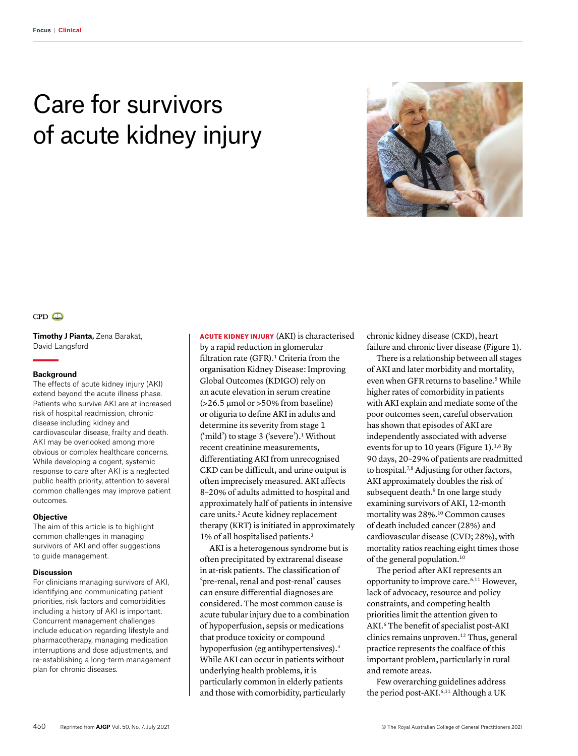# Care for survivors of acute kidney injury





**Timothy J Pianta,** Zena Barakat, David Langsford

#### **Background**

The effects of acute kidney injury (AKI) extend beyond the acute illness phase. Patients who survive AKI are at increased risk of hospital readmission, chronic disease including kidney and cardiovascular disease, frailty and death. AKI may be overlooked among more obvious or complex healthcare concerns. While developing a cogent, systemic response to care after AKI is a neglected public health priority, attention to several common challenges may improve patient outcomes.

#### **Objective**

The aim of this article is to highlight common challenges in managing survivors of AKI and offer suggestions to guide management.

#### **Discussion**

For clinicians managing survivors of AKI, identifying and communicating patient priorities, risk factors and comorbidities including a history of AKI is important. Concurrent management challenges include education regarding lifestyle and pharmacotherapy, managing medication interruptions and dose adjustments, and re-establishing a long-term management plan for chronic diseases.

ACUTE KIDNEY INJURY (AKI) is characterised by a rapid reduction in glomerular filtration rate (GFR).<sup>1</sup> Criteria from the organisation Kidney Disease: Improving Global Outcomes (KDIGO) rely on an acute elevation in serum creatine  $($ >26.5  $\mu$ mol or >50% from baseline) or oliguria to define AKI in adults and determine its severity from stage 1  $('mild')$  to stage 3  $('severe')$ .<sup>1</sup> Without recent creatinine measurements, differentiating AKI from unrecognised CKD can be difficult, and urine output is often imprecisely measured. AKI affects 8–20% of adults admitted to hospital and approximately half of patients in intensive care units.<sup>2</sup> Acute kidney replacement therapy (KRT) is initiated in approximately 1% of all hospitalised patients.3

AKI is a heterogenous syndrome but is often precipitated by extrarenal disease in at-risk patients. The classification of 'pre-renal, renal and post-renal' causes can ensure differential diagnoses are considered. The most common cause is acute tubular injury due to a combination of hypoperfusion, sepsis or medications that produce toxicity or compound hypoperfusion (eg antihypertensives).4 While AKI can occur in patients without underlying health problems, it is particularly common in elderly patients and those with comorbidity, particularly

chronic kidney disease (CKD), heart failure and chronic liver disease (Figure 1).

There is a relationship between all stages of AKI and later morbidity and mortality, even when GFR returns to baseline.<sup>5</sup> While higher rates of comorbidity in patients with AKI explain and mediate some of the poor outcomes seen, careful observation has shown that episodes of AKI are independently associated with adverse events for up to 10 years (Figure 1).<sup>1,6</sup> By 90 days, 20–29% of patients are readmitted to hospital.<sup>7,8</sup> Adjusting for other factors, AKI approximately doubles the risk of subsequent death.<sup>9</sup> In one large study examining survivors of AKI, 12-month mortality was 28%.10 Common causes of death included cancer (28%) and cardiovascular disease (CVD; 28%), with mortality ratios reaching eight times those of the general population.10

The period after AKI represents an opportunity to improve care.6,11 However, lack of advocacy, resource and policy constraints, and competing health priorities limit the attention given to AKI.6 The benefit of specialist post-AKI clinics remains unproven.12 Thus, general practice represents the coalface of this important problem, particularly in rural and remote areas.

Few overarching guidelines address the period post-AKI.<sup>6,11</sup> Although a UK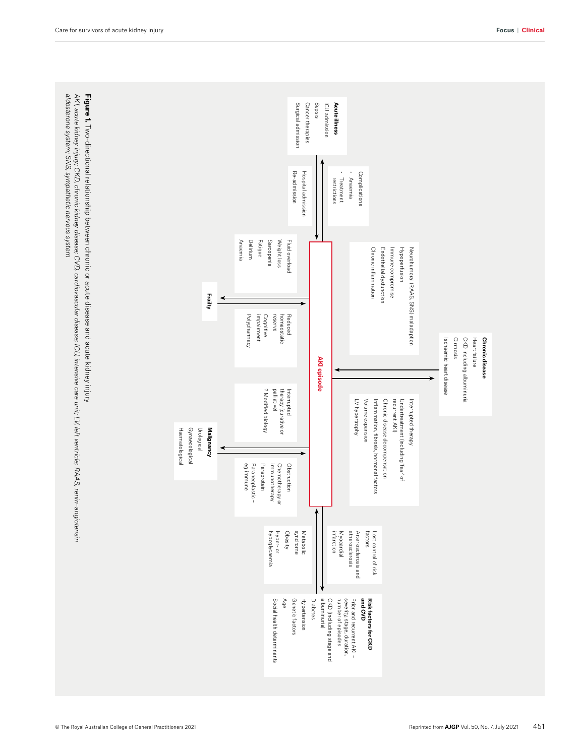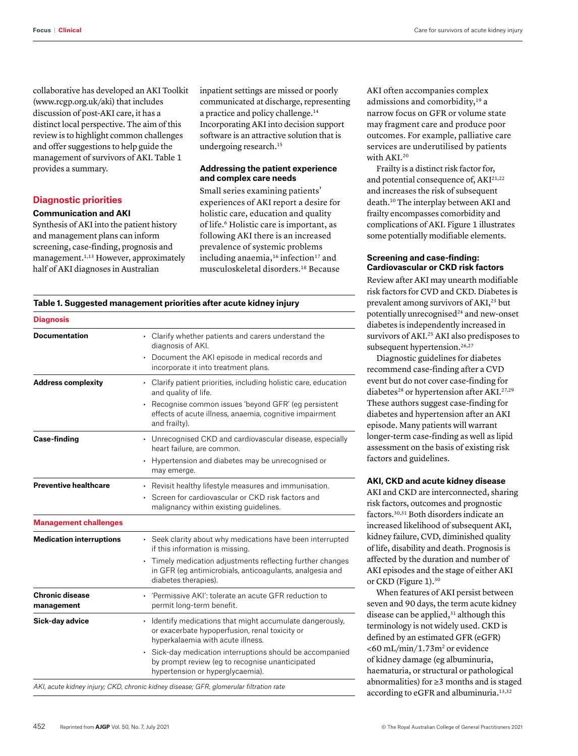collaborative has developed an AKI Toolkit (www.rcgp.org.uk/aki) that includes discussion of post-AKI care, it has a distinct local perspective. The aim of this review is to highlight common challenges and offer suggestions to help guide the management of survivors of AKI. Table 1 provides a summary.

## **Diagnostic priorities**

#### **Communication and AKI**

Synthesis of AKI into the patient history and management plans can inform screening, case-finding, prognosis and management.<sup>1,13</sup> However, approximately half of AKI diagnoses in Australian

inpatient settings are missed or poorly communicated at discharge, representing a practice and policy challenge.14 Incorporating AKI into decision support software is an attractive solution that is undergoing research.<sup>15</sup>

### **Addressing the patient experience and complex care needs**

Small series examining patients' experiences of AKI report a desire for holistic care, education and quality of life.6 Holistic care is important, as following AKI there is an increased prevalence of systemic problems including anaemia,<sup>16</sup> infection<sup>17</sup> and musculoskeletal disorders.18 Because

AKI often accompanies complex admissions and comorbidity,<sup>19</sup> a narrow focus on GFR or volume state may fragment care and produce poor outcomes. For example, palliative care services are underutilised by patients with AKI.20

Frailty is a distinct risk factor for, and potential consequence of, AKI<sup>21,22</sup> and increases the risk of subsequent death.10 The interplay between AKI and frailty encompasses comorbidity and complications of AKI. Figure 1 illustrates some potentially modifiable elements.

## **Screening and case-finding: Cardiovascular or CKD risk factors**

Review after AKI may unearth modifiable risk factors for CVD and CKD. Diabetes is prevalent among survivors of AKI,<sup>23</sup> but potentially unrecognised $24$  and new-onset diabetes is independently increased in survivors of AKI.25 AKI also predisposes to subsequent hypertension.<sup>26,27</sup>

Diagnostic guidelines for diabetes recommend case-finding after a CVD event but do not cover case-finding for diabetes<sup>28</sup> or hypertension after AKI.<sup>27,29</sup> These authors suggest case-finding for diabetes and hypertension after an AKI episode. Many patients will warrant longer-term case-finding as well as lipid assessment on the basis of existing risk factors and guidelines.

# **AKI, CKD and acute kidney disease**

AKI and CKD are interconnected, sharing risk factors, outcomes and prognostic factors.30,31 Both disorders indicate an increased likelihood of subsequent AKI, kidney failure, CVD, diminished quality of life, disability and death. Prognosis is affected by the duration and number of AKI episodes and the stage of either AKI or CKD (Figure 1).<sup>30</sup>

When features of AKI persist between seven and 90 days, the term acute kidney disease can be applied,<sup>31</sup> although this terminology is not widely used. CKD is defined by an estimated GFR (eGFR)  $<$  60 mL/min/1.73m<sup>2</sup> or evidence of kidney damage (eg albuminuria, haematuria, or structural or pathological abnormalities) for ≥3 months and is staged according to eGFR and albuminuria.<sup>13,32</sup>

### **Table 1. Suggested management priorities after acute kidney injury**

| <b>Diagnosis</b>                     |                                                                                                                                                                                                                                                                                                    |
|--------------------------------------|----------------------------------------------------------------------------------------------------------------------------------------------------------------------------------------------------------------------------------------------------------------------------------------------------|
| <b>Documentation</b>                 | • Clarify whether patients and carers understand the<br>diagnosis of AKI.<br>• Document the AKI episode in medical records and<br>incorporate it into treatment plans.                                                                                                                             |
| <b>Address complexity</b>            | • Clarify patient priorities, including holistic care, education<br>and quality of life.<br>Recognise common issues 'beyond GFR' (eg persistent<br>effects of acute illness, anaemia, cognitive impairment<br>and frailty).                                                                        |
| <b>Case-finding</b>                  | • Unrecognised CKD and cardiovascular disease, especially<br>heart failure, are common.<br>Hypertension and diabetes may be unrecognised or<br>may emerge.                                                                                                                                         |
| <b>Preventive healthcare</b>         | • Revisit healthy lifestyle measures and immunisation.<br>Screen for cardiovascular or CKD risk factors and<br>malignancy within existing guidelines.                                                                                                                                              |
| <b>Management challenges</b>         |                                                                                                                                                                                                                                                                                                    |
| <b>Medication interruptions</b>      | • Seek clarity about why medications have been interrupted<br>if this information is missing.<br>Timely medication adjustments reflecting further changes<br>in GFR (eg antimicrobials, anticoagulants, analgesia and<br>diabetes therapies).                                                      |
| <b>Chronic disease</b><br>management | • 'Permissive AKI': tolerate an acute GFR reduction to<br>permit long-term benefit.                                                                                                                                                                                                                |
| Sick-day advice                      | • Identify medications that might accumulate dangerously,<br>or exacerbate hypoperfusion, renal toxicity or<br>hyperkalaemia with acute illness.<br>Sick-day medication interruptions should be accompanied<br>by prompt review (eg to recognise unanticipated<br>hypertension or hyperglycaemia). |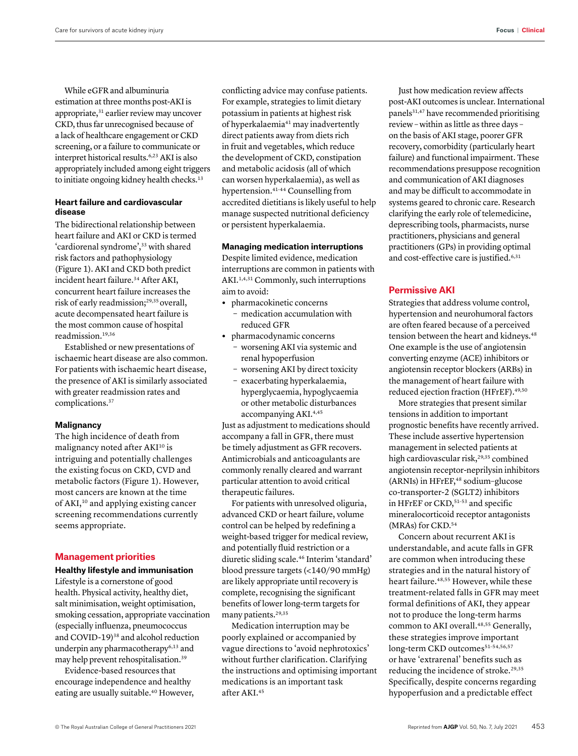While eGFR and albuminuria estimation at three months post-AKI is appropriate,<sup>31</sup> earlier review may uncover CKD, thus far unrecognised because of a lack of healthcare engagement or CKD screening, or a failure to communicate or interpret historical results.6,23 AKI is also appropriately included among eight triggers to initiate ongoing kidney health checks.<sup>13</sup>

# **Heart failure and cardiovascular disease**

The bidirectional relationship between heart failure and AKI or CKD is termed 'cardiorenal syndrome',<sup>33</sup> with shared risk factors and pathophysiology (Figure 1). AKI and CKD both predict incident heart failure.34 After AKI, concurrent heart failure increases the risk of early readmission;<sup>29,35</sup> overall, acute decompensated heart failure is the most common cause of hospital readmission.19,36

Established or new presentations of ischaemic heart disease are also common. For patients with ischaemic heart disease, the presence of AKI is similarly associated with greater readmission rates and complications.37

### **Malignancy**

The high incidence of death from malignancy noted after AKI<sup>10</sup> is intriguing and potentially challenges the existing focus on CKD, CVD and metabolic factors (Figure 1). However, most cancers are known at the time of AKI,<sup>10</sup> and applying existing cancer screening recommendations currently seems appropriate.

## **Management priorities**

**Healthy lifestyle and immunisation**

Lifestyle is a cornerstone of good health. Physical activity, healthy diet, salt minimisation, weight optimisation, smoking cessation, appropriate vaccination (especially influenza, pneumococcus and COVID-19)<sup>38</sup> and alcohol reduction underpin any pharmacotherapy<sup>6,13</sup> and may help prevent rehospitalisation.39

Evidence-based resources that encourage independence and healthy eating are usually suitable.<sup>40</sup> However, conflicting advice may confuse patients. For example, strategies to limit dietary potassium in patients at highest risk of hyperkalaemia<sup>41</sup> may inadvertently direct patients away from diets rich in fruit and vegetables, which reduce the development of CKD, constipation and metabolic acidosis (all of which can worsen hyperkalaemia), as well as hypertension.41–44 Counselling from accredited dietitians is likely useful to help manage suspected nutritional deficiency or persistent hyperkalaemia.

## **Managing medication interruptions**

Despite limited evidence, medication interruptions are common in patients with AKI.1,4,31 Commonly, such interruptions aim to avoid:

- **•** pharmacokinetic concerns – medication accumulation with reduced GFR
- **•** pharmacodynamic concerns
	- worsening AKI via systemic and renal hypoperfusion
	- worsening AKI by direct toxicity
	- exacerbating hyperkalaemia, hyperglycaemia, hypoglycaemia or other metabolic disturbances accompanying AKI.<sup>4,45</sup>

Just as adjustment to medications should accompany a fall in GFR, there must be timely adjustment as GFR recovers. Antimicrobials and anticoagulants are commonly renally cleared and warrant particular attention to avoid critical therapeutic failures.

For patients with unresolved oliguria, advanced CKD or heart failure, volume control can be helped by redefining a weight-based trigger for medical review, and potentially fluid restriction or a diuretic sliding scale.46 Interim 'standard' blood pressure targets (<140/90 mmHg) are likely appropriate until recovery is complete, recognising the significant benefits of lower long-term targets for many patients.29,35

Medication interruption may be poorly explained or accompanied by vague directions to 'avoid nephrotoxics' without further clarification. Clarifying the instructions and optimising important medications is an important task after AKI.45

Just how medication review affects post-AKI outcomes is unclear. International panels<sup>31,47</sup> have recommended prioritising review – within as little as three days – on the basis of AKI stage, poorer GFR recovery, comorbidity (particularly heart failure) and functional impairment. These recommendations presuppose recognition and communication of AKI diagnoses and may be difficult to accommodate in systems geared to chronic care. Research clarifying the early role of telemedicine, deprescribing tools, pharmacists, nurse practitioners, physicians and general practitioners (GPs) in providing optimal and cost-effective care is justified.<sup>6,31</sup>

## **Permissive AKI**

Strategies that address volume control, hypertension and neurohumoral factors are often feared because of a perceived tension between the heart and kidneys.<sup>48</sup> One example is the use of angiotensin converting enzyme (ACE) inhibitors or angiotensin receptor blockers (ARBs) in the management of heart failure with reduced ejection fraction (HFrEF).49,50

More strategies that present similar tensions in addition to important prognostic benefits have recently arrived. These include assertive hypertension management in selected patients at high cardiovascular risk,<sup>29,35</sup> combined angiotensin receptor-neprilysin inhibitors (ARNIs) in HFrEF,<sup>48</sup> sodium-glucose co-transporter-2 (SGLT2) inhibitors in HFrEF or CKD,<sup>51-53</sup> and specific mineralocorticoid receptor antagonists (MRAs) for CKD.<sup>54</sup>

Concern about recurrent AKI is understandable, and acute falls in GFR are common when introducing these strategies and in the natural history of heart failure.<sup>48,55</sup> However, while these treatment-related falls in GFR may meet formal definitions of AKI, they appear not to produce the long-term harms common to AKI overall.<sup>48,55</sup> Generally, these strategies improve important long-term CKD outcomes<sup>51-54,56,57</sup> or have 'extrarenal' benefits such as reducing the incidence of stroke.<sup>29,35</sup> Specifically, despite concerns regarding hypoperfusion and a predictable effect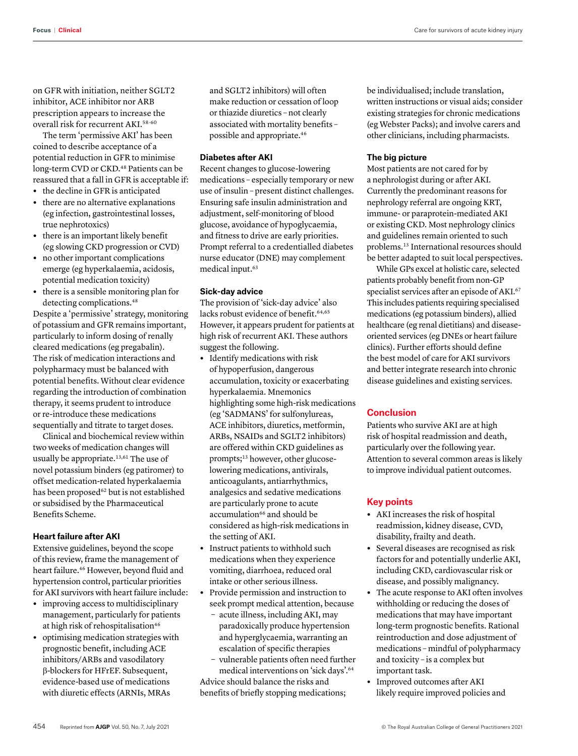on GFR with initiation, neither SGLT2 inhibitor, ACE inhibitor nor ARB prescription appears to increase the overall risk for recurrent AKI.58–60

The term 'permissive AKI' has been coined to describe acceptance of a potential reduction in GFR to minimise long-term CVD or CKD.<sup>48</sup> Patients can be reassured that a fall in GFR is acceptable if:

- **•** the decline in GFR is anticipated
- **•** there are no alternative explanations (eg infection, gastrointestinal losses, true nephrotoxics)
- **•** there is an important likely benefit (eg slowing CKD progression or CVD)
- **•** no other important complications emerge (eg hyperkalaemia, acidosis, potential medication toxicity)
- **•** there is a sensible monitoring plan for detecting complications.<sup>48</sup>

Despite a 'permissive' strategy, monitoring of potassium and GFR remains important, particularly to inform dosing of renally cleared medications (eg pregabalin). The risk of medication interactions and polypharmacy must be balanced with potential benefits. Without clear evidence regarding the introduction of combination therapy, it seems prudent to introduce or re-introduce these medications sequentially and titrate to target doses.

Clinical and biochemical review within two weeks of medication changes will usually be appropriate.<sup>13,61</sup> The use of novel potassium binders (eg patiromer) to offset medication-related hyperkalaemia has been proposed<sup>62</sup> but is not established or subsidised by the Pharmaceutical Benefits Scheme.

# **Heart failure after AKI**

Extensive guidelines, beyond the scope of this review, frame the management of heart failure.46 However, beyond fluid and hypertension control, particular priorities for AKI survivors with heart failure include:

- **•** improving access to multidisciplinary management, particularly for patients at high risk of rehospitalisation<sup>46</sup>
- **•** optimising medication strategies with prognostic benefit, including ACE inhibitors/ARBs and vasodilatory β-blockers for HFrEF. Subsequent, evidence-based use of medications with diuretic effects (ARNIs, MRAs

and SGLT2 inhibitors) will often make reduction or cessation of loop or thiazide diuretics – not clearly associated with mortality benefits – possible and appropriate.46

## **Diabetes after AKI**

Recent changes to glucose-lowering medications – especially temporary or new use of insulin – present distinct challenges. Ensuring safe insulin administration and adjustment, self-monitoring of blood glucose, avoidance of hypoglycaemia, and fitness to drive are early priorities. Prompt referral to a credentialled diabetes nurse educator (DNE) may complement medical input.<sup>63</sup>

#### **Sick-day advice**

The provision of 'sick-day advice' also lacks robust evidence of benefit.<sup>64,65</sup> However, it appears prudent for patients at high risk of recurrent AKI. These authors suggest the following.

- **•** Identify medications with risk of hypoperfusion, dangerous accumulation, toxicity or exacerbating hyperkalaemia. Mnemonics highlighting some high-risk medications (eg 'SADMANS' for sulfonylureas, ACE inhibitors, diuretics, metformin, ARBs, NSAIDs and SGLT2 inhibitors) are offered within CKD guidelines as prompts;<sup>13</sup> however, other glucoselowering medications, antivirals, anticoagulants, antiarrhythmics, analgesics and sedative medications are particularly prone to acute accumulation<sup>66</sup> and should be considered as high-risk medications in the setting of AKI.
- **•** Instruct patients to withhold such medications when they experience vomiting, diarrhoea, reduced oral intake or other serious illness.
- **•** Provide permission and instruction to seek prompt medical attention, because
	- acute illness, including AKI, may paradoxically produce hypertension and hyperglycaemia, warranting an escalation of specific therapies
- vulnerable patients often need further medical interventions on 'sick days'.64 Advice should balance the risks and

benefits of briefly stopping medications;

be individualised; include translation, written instructions or visual aids; consider existing strategies for chronic medications (eg Webster Packs); and involve carers and other clinicians, including pharmacists.

#### **The big picture**

Most patients are not cared for by a nephrologist during or after AKI. Currently the predominant reasons for nephrology referral are ongoing KRT, immune- or paraprotein-mediated AKI or existing CKD. Most nephrology clinics and guidelines remain oriented to such problems.13 International resources should be better adapted to suit local perspectives.

While GPs excel at holistic care, selected patients probably benefit from non-GP specialist services after an episode of AKI.<sup>67</sup> This includes patients requiring specialised medications (eg potassium binders), allied healthcare (eg renal dietitians) and diseaseoriented services (eg DNEs or heart failure clinics). Further efforts should define the best model of care for AKI survivors and better integrate research into chronic disease guidelines and existing services.

# **Conclusion**

Patients who survive AKI are at high risk of hospital readmission and death, particularly over the following year. Attention to several common areas is likely to improve individual patient outcomes.

## **Key points**

- **•** AKI increases the risk of hospital readmission, kidney disease, CVD, disability, frailty and death.
- **•** Several diseases are recognised as risk factors for and potentially underlie AKI, including CKD, cardiovascular risk or disease, and possibly malignancy.
- **•** The acute response to AKI often involves withholding or reducing the doses of medications that may have important long-term prognostic benefits. Rational reintroduction and dose adjustment of medications – mindful of polypharmacy and toxicity – is a complex but important task.
- **•** Improved outcomes after AKI likely require improved policies and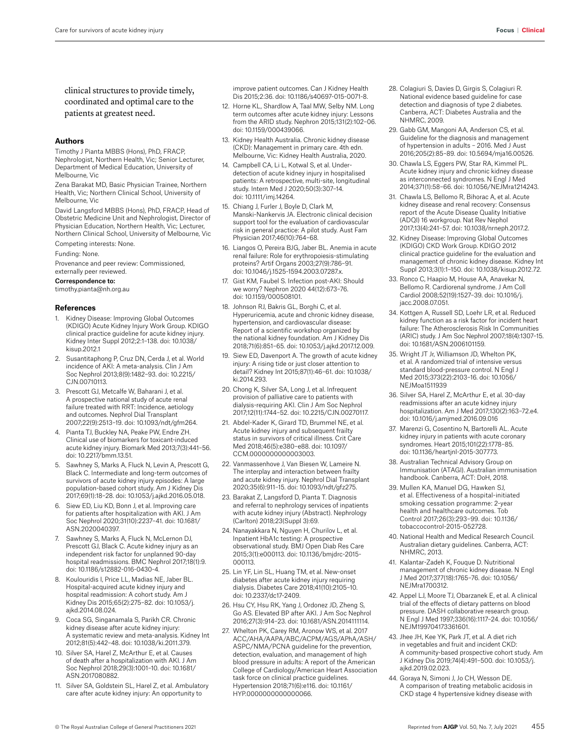clinical structures to provide timely, coordinated and optimal care to the patients at greatest need.

#### **Authors**

Timothy J Pianta MBBS (Hons), PhD, FRACP, Nephrologist, Northern Health, Vic; Senior Lecturer, Department of Medical Education, University of Melbourne, Vic

Zena Barakat MD, Basic Physician Trainee, Northern Health, Vic; Northern Clinical School, University of Melbourne, Vic

David Langsford MBBS (Hons), PhD, FRACP, Head of Obstetric Medicine Unit and Nephrologist, Director of Physician Education, Northern Health, Vic; Lecturer, Northern Clinical School, University of Melbourne, Vic

Competing interests: None.

Funding: None.

Provenance and peer review: Commissioned, externally peer reviewed.

#### Correspondence to:

timothy.pianta@nh.org.au

#### **References**

- 1. Kidney Disease: Improving Global Outcomes (KDIGO) Acute Kidney Injury Work Group. KDIGO clinical practice guideline for acute kidney injury. Kidney Inter Suppl 2012;2:1–138. doi: 10.1038/ kisup.2012.1
- Susantitaphong P, Cruz DN, Cerda J, et al. World incidence of AKI: A meta-analysis. Clin J Am Soc Nephrol 2013;8(9):1482–93. doi: 10.2215/ CJN.00710113.
- 3. Prescott GJ, Metcalfe W, Baharani J, et al. A prospective national study of acute renal failure treated with RRT: Incidence, aetiology and outcomes. Nephrol Dial Transplant 2007;22(9):2513–19. doi: 10.1093/ndt/gfm264.
- 4. Pianta TJ, Buckley NA, Peake PW, Endre ZH. Clinical use of biomarkers for toxicant-induced acute kidney injury. Biomark Med 2013;7(3):441–56. doi: 10.2217/bmm.13.51.
- 5. Sawhney S, Marks A, Fluck N, Levin A, Prescott G, Black C. Intermediate and long-term outcomes of survivors of acute kidney injury episodes: A large population-based cohort study. Am J Kidney Dis 2017;69(1):18–28. doi: 10.1053/j.ajkd.2016.05.018.
- 6. Siew ED, Liu KD, Bonn J, et al. Improving care for patients after hospitalization with AKI. J Am Soc Nephrol 2020;31(10):2237–41. doi: 10.1681/ ASN.2020040397.
- 7. Sawhney S, Marks A, Fluck N, McLernon DJ, Prescott GJ, Black C. Acute kidney injury as an independent risk factor for unplanned 90-day hospital readmissions. BMC Nephrol 2017;18(1):9. doi: 10.1186/s12882-016-0430-4.
- Koulouridis I, Price LL, Madias NE, Jaber BL. Hospital-acquired acute kidney injury and hospital readmission: A cohort study. Am J Kidney Dis 2015;65(2):275–82. doi: 10.1053/j. ajkd.2014.08.024.
- 9. Coca SG, Singanamala S, Parikh CR. Chronic kidney disease after acute kidney injury: A systematic review and meta-analysis. Kidney Int 2012;81(5):442–48. doi: 10.1038/ki.2011.379.
- 10. Silver SA, Harel Z, McArthur E, et al. Causes of death after a hospitalization with AKI. J Am Soc Nephrol 2018;29(3):1001–10. doi: 10.1681/ ASN.2017080882.
- 11. Silver SA, Goldstein SL, Harel Z, et al. Ambulatory care after acute kidney injury: An opportunity to

improve patient outcomes. Can J Kidney Health Dis 2015;2:36. doi: 10.1186/s40697-015-0071-8.

- 12. Horne KL, Shardlow A, Taal MW, Selby NM. Long term outcomes after acute kidney injury: Lessons from the ARID study. Nephron 2015;131(2):102–06. doi: 10.1159/000439066.
- 13. Kidney Health Australia. Chronic kidney disease (CKD): Management in primary care. 4th edn. Melbourne, Vic: Kidney Health Australia, 2020.
- 14. Campbell CA, Li L, Kotwal S, et al. Underdetection of acute kidney injury in hospitalised patients: A retrospective, multi-site, longitudinal study. Intern Med J 2020;50(3):307–14. doi: 10.1111/imj.14264.
- 15. Chiang J, Furler J, Boyle D, Clark M, Manski-Nankervis JA. Electronic clinical decision support tool for the evaluation of cardiovascular risk in general practice: A pilot study. Aust Fam Physician 2017;46(10):764–68.
- 16. Liangos O, Pereira BJG, Jaber BL. Anemia in acute renal failure: Role for erythropoiesis-stimulating proteins? Artif Organs 2003;27(9):786–91. doi: 10.1046/j.1525-1594.2003.07287.x.
- 17. Gist KM, Faubel S. Infection post-AKI: Should we worry? Nephron 2020 44(12):673–76. doi: 10.1159/000508101.
- 18. Johnson RJ, Bakris GL, Borghi C, et al. Hyperuricemia, acute and chronic kidney disease, hypertension, and cardiovascular disease: Report of a scientific workshop organized by the national kidney foundation. Am J Kidney Dis 2018;71(6):851–65. doi: 10.1053/j.ajkd.2017.12.009.
- 19. Siew ED, Davenport A. The growth of acute kidney injury: A rising tide or just closer attention to detail? Kidney Int 2015;87(1):46–61. doi: 10.1038/ ki.2014.293.
- 20. Chong K, Silver SA, Long J, et al. Infrequent provision of palliative care to patients with dialysis-requiring AKI. Clin J Am Soc Nephrol 2017;12(11):1744–52. doi: 10.2215/CJN.00270117.
- 21. Abdel-Kader K, Girard TD, Brummel NE, et al. Acute kidney injury and subsequent frailty status in survivors of critical illness. Crit Care Med 2018;46(5):e380–e88. doi: 10.1097/ CCM.0000000000003003.
- 22. Vanmassenhove J, Van Biesen W, Lameire N. The interplay and interaction between frailty and acute kidney injury. Nephrol Dial Transplant 2020;35(6):911–15. doi: 10.1093/ndt/gfz275.
- 23. Barakat Z, Langsford D, Pianta T. Diagnosis and referral to nephrology services of inpatients with acute kidney injury (Abstract). Nephrology (Carlton) 2018;23(Suppl 3):69.
- 24. Nanayakkara N, Nguyen H, Churilov L, et al. Inpatient HbA1c testing: A prospective observational study. BMJ Open Diab Res Care 2015;3(1):e000113. doi: 10.1136/bmjdrc-2015- 000113.
- 25. Lin YF, Lin SL, Huang TM, et al. New-onset diabetes after acute kidney injury requiring dialysis. Diabetes Care 2018;41(10):2105–10. doi: 10.2337/dc17-2409.
- 26. Hsu CY, Hsu RK, Yang J, Ordonez JD, Zheng S, Go AS. Elevated BP after AKI. J Am Soc Nephrol 2016;27(3):914–23. doi: 10.1681/ASN.2014111114.
- 27. Whelton PK, Carey RM, Aronow WS, et al. 2017 ACC/AHA/AAPA/ABC/ACPM/AGS/APhA/ASH/ ASPC/NMA/PCNA guideline for the prevention, detection, evaluation, and management of high blood pressure in adults: A report of the American College of Cardiology/American Heart Association task force on clinical practice guidelines. Hypertension 2018;71(6):e116. doi: 10.1161/ HYP.0000000000000066.
- 28. Colagiuri S, Davies D, Girgis S, Colagiuri R. National evidence based guideline for case detection and diagnosis of type 2 diabetes. Canberra, ACT: Diabetes Australia and the NHMRC, 2009.
- 29. Gabb GM, Mangoni AA, Anderson CS, et al. Guideline for the diagnosis and management of hypertension in adults – 2016. Med J Aust 2016;205(2):85–89. doi: 10.5694/mja16.00526.
- 30. Chawla LS, Eggers PW, Star RA, Kimmel PL. Acute kidney injury and chronic kidney disease as interconnected syndromes. N Engl J Med 2014;371(1):58–66. doi: 10.1056/NEJMra1214243.
- 31. Chawla LS, Bellomo R, Bihorac A, et al. Acute kidney disease and renal recovery: Consensus report of the Acute Disease Quality Initiative (ADQI) 16 workgroup. Nat Rev Nephol 2017;13(4):241–57. doi: 10.1038/nrneph.2017.2.
- 32. Kidney Disease: Improving Global Outcomes (KDIGO) CKD Work Group. KDIGO 2012 clinical practice guideline for the evaluation and management of chronic kidney disease. Kidney Int Suppl 2013;3(1):1–150. doi: 10.1038/kisup.2012.72.
- 33. Ronco C, Haapio M, House AA, Anavekar N, Bellomo R. Cardiorenal syndrome. J Am Coll Cardiol 2008;52(19):1527–39. doi: 10.1016/j. iacc.2008.07.051.
- 34. Kottgen A, Russell SD, Loehr LR, et al. Reduced kidney function as a risk factor for incident heart failure: The Atherosclerosis Risk In Communities (ARIC) study. J Am Soc Nephrol 2007;18(4):1307–15. doi: 10.1681/ASN.2006101159.
- 35. Wright JT Jr, Williamson JD, Whelton PK, et al. A randomized trial of intensive versus standard blood-pressure control. N Engl J Med 2015;373(22):2103–16. doi: 10.1056/ NEJMoa1511939
- 36. Silver SA, Harel Z, McArthur E, et al. 30-day readmissions after an acute kidney injury hospitalization. Am J Med 2017;130(2):163–72.e4. doi: 10.1016/j.amjmed.2016.09.016
- 37. Marenzi G, Cosentino N, Bartorelli AL. Acute kidney injury in patients with acute coronary syndromes. Heart 2015;101(22):1778–85. doi: 10.1136/heartjnl-2015-307773.
- 38. Australian Technical Advisory Group on Immunisation (ATAGI). Australian immunisation handbook. Canberra, ACT: DoH, 2018.
- 39. Mullen KA, Manuel DG, Hawken SJ, et al. Effectiveness of a hospital-initiated smoking cessation programme: 2-year health and healthcare outcomes. Tob Control 2017;26(3):293–99. doi: 10.1136/ tobaccocontrol-2015-052728.
- 40. National Health and Medical Research Council. Australian dietary guidelines. Canberra, ACT: NHMRC, 2013.
- 41. Kalantar-Zadeh K, Fouque D. Nutritional management of chronic kidney disease. N Engl J Med 2017;377(18):1765–76. doi: 10.1056/ NEJMra1700312.
- 42. Appel LJ, Moore TJ, Obarzanek E, et al. A clinical trial of the effects of dietary patterns on blood pressure. DASH collaborative research group. N Engl J Med 1997;336(16):1117–24. doi: 10.1056/ NEJM199704173361601.
- 43. Jhee JH, Kee YK, Park JT, et al. A diet rich in vegetables and fruit and incident CKD: A community-based prospective cohort study. Am J Kidney Dis 2019;74(4):491–500. doi: 10.1053/j. ajkd.2019.02.023.
- 44. Goraya N, Simoni J, Jo CH, Wesson DE. A comparison of treating metabolic acidosis in CKD stage 4 hypertensive kidney disease with